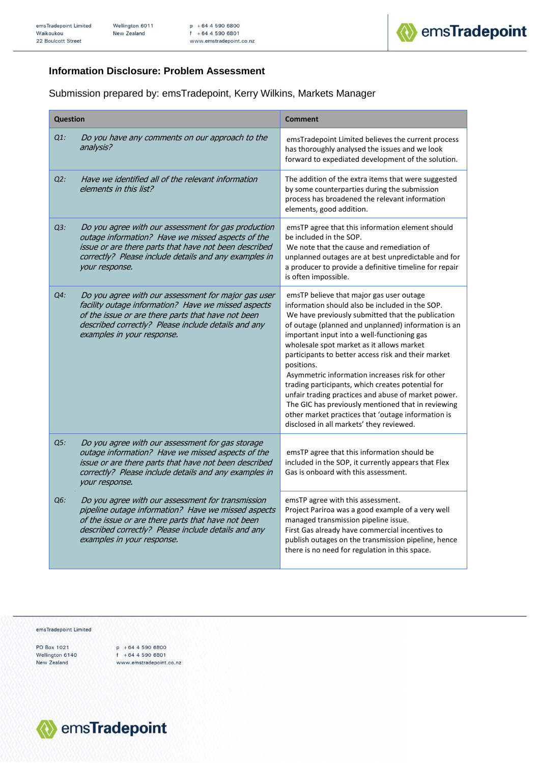

## **Information Disclosure: Problem Assessment**

Submission prepared by: emsTradepoint, Kerry Wilkins, Markets Manager

| <b>Question</b> |                                                                                                                                                                                                                                                       | <b>Comment</b>                                                                                                                                                                                                                                                                                                                                                                                                                                                                                                                                                                                                                                                                                  |
|-----------------|-------------------------------------------------------------------------------------------------------------------------------------------------------------------------------------------------------------------------------------------------------|-------------------------------------------------------------------------------------------------------------------------------------------------------------------------------------------------------------------------------------------------------------------------------------------------------------------------------------------------------------------------------------------------------------------------------------------------------------------------------------------------------------------------------------------------------------------------------------------------------------------------------------------------------------------------------------------------|
| $Q1$ :          | Do you have any comments on our approach to the<br>analysis?                                                                                                                                                                                          | emsTradepoint Limited believes the current process<br>has thoroughly analysed the issues and we look<br>forward to expediated development of the solution.                                                                                                                                                                                                                                                                                                                                                                                                                                                                                                                                      |
| $Q2$ :          | Have we identified all of the relevant information<br>elements in this list?                                                                                                                                                                          | The addition of the extra items that were suggested<br>by some counterparties during the submission<br>process has broadened the relevant information<br>elements, good addition.                                                                                                                                                                                                                                                                                                                                                                                                                                                                                                               |
| $Q3$ :          | Do you agree with our assessment for gas production<br>outage information? Have we missed aspects of the<br>issue or are there parts that have not been described<br>correctly? Please include details and any examples in<br>your response.          | emsTP agree that this information element should<br>be included in the SOP.<br>We note that the cause and remediation of<br>unplanned outages are at best unpredictable and for<br>a producer to provide a definitive timeline for repair<br>is often impossible.                                                                                                                                                                                                                                                                                                                                                                                                                               |
| Q4:             | Do you agree with our assessment for major gas user<br>facility outage information? Have we missed aspects<br>of the issue or are there parts that have not been<br>described correctly? Please include details and any<br>examples in your response. | emsTP believe that major gas user outage<br>information should also be included in the SOP.<br>We have previously submitted that the publication<br>of outage (planned and unplanned) information is an<br>important input into a well-functioning gas<br>wholesale spot market as it allows market<br>participants to better access risk and their market<br>positions.<br>Asymmetric information increases risk for other<br>trading participants, which creates potential for<br>unfair trading practices and abuse of market power.<br>The GIC has previously mentioned that in reviewing<br>other market practices that 'outage information is<br>disclosed in all markets' they reviewed. |
| Q5:             | Do you agree with our assessment for gas storage<br>outage information? Have we missed aspects of the<br>issue or are there parts that have not been described<br>correctly? Please include details and any examples in<br>your response.             | emsTP agree that this information should be<br>included in the SOP, it currently appears that Flex<br>Gas is onboard with this assessment.                                                                                                                                                                                                                                                                                                                                                                                                                                                                                                                                                      |
| Q6:             | Do you agree with our assessment for transmission<br>pipeline outage information? Have we missed aspects<br>of the issue or are there parts that have not been<br>described correctly? Please include details and any<br>examples in your response.   | emsTP agree with this assessment.<br>Project Pariroa was a good example of a very well<br>managed transmission pipeline issue.<br>First Gas already have commercial incentives to<br>publish outages on the transmission pipeline, hence<br>there is no need for regulation in this space.                                                                                                                                                                                                                                                                                                                                                                                                      |

emsTradepoint Limited

PO Box 1021 Wellington 6140 New Zealand

 $p + 6445906800$ <br> $f + 6445906801$ <br>www.emstradepoint. www.emstradepoint.co.nz